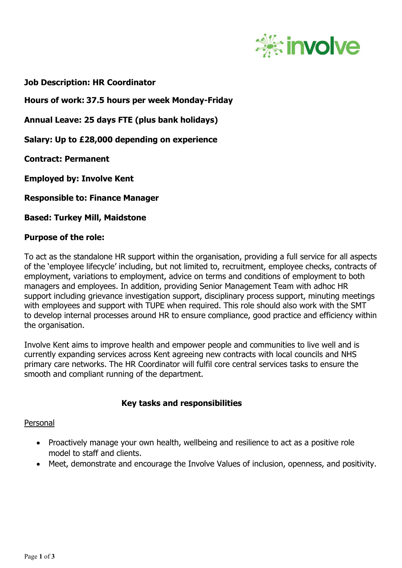

**Job Description: HR Coordinator**

**Hours of work: 37.5 hours per week Monday-Friday**

**Annual Leave: 25 days FTE (plus bank holidays)**

**Salary: Up to £28,000 depending on experience**

**Contract: Permanent**

**Employed by: Involve Kent**

**Responsible to: Finance Manager**

**Based: Turkey Mill, Maidstone** 

### **Purpose of the role:**

To act as the standalone HR support within the organisation, providing a full service for all aspects of the 'employee lifecycle' including, but not limited to, recruitment, employee checks, contracts of employment, variations to employment, advice on terms and conditions of employment to both managers and employees. In addition, providing Senior Management Team with adhoc HR support including grievance investigation support, disciplinary process support, minuting meetings with employees and support with TUPE when required. This role should also work with the SMT to develop internal processes around HR to ensure compliance, good practice and efficiency within the organisation.

Involve Kent aims to improve health and empower people and communities to live well and is currently expanding services across Kent agreeing new contracts with local councils and NHS primary care networks. The HR Coordinator will fulfil core central services tasks to ensure the smooth and compliant running of the department.

### **Key tasks and responsibilities**

Personal

- Proactively manage your own health, wellbeing and resilience to act as a positive role model to staff and clients.
- Meet, demonstrate and encourage the Involve Values of inclusion, openness, and positivity.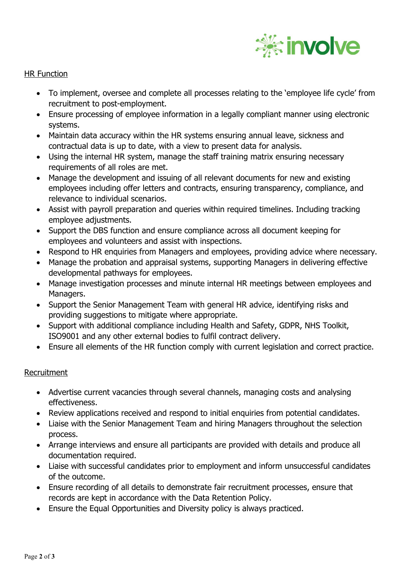

## HR Function

- To implement, oversee and complete all processes relating to the 'employee life cycle' from recruitment to post-employment.
- Ensure processing of employee information in a legally compliant manner using electronic systems.
- Maintain data accuracy within the HR systems ensuring annual leave, sickness and contractual data is up to date, with a view to present data for analysis.
- Using the internal HR system, manage the staff training matrix ensuring necessary requirements of all roles are met.
- Manage the development and issuing of all relevant documents for new and existing employees including offer letters and contracts, ensuring transparency, compliance, and relevance to individual scenarios.
- Assist with payroll preparation and queries within required timelines. Including tracking employee adjustments.
- Support the DBS function and ensure compliance across all document keeping for employees and volunteers and assist with inspections.
- Respond to HR enquiries from Managers and employees, providing advice where necessary.
- Manage the probation and appraisal systems, supporting Managers in delivering effective developmental pathways for employees.
- Manage investigation processes and minute internal HR meetings between employees and Managers.
- Support the Senior Management Team with general HR advice, identifying risks and providing suggestions to mitigate where appropriate.
- Support with additional compliance including Health and Safety, GDPR, NHS Toolkit, ISO9001 and any other external bodies to fulfil contract delivery.
- Ensure all elements of the HR function comply with current legislation and correct practice.

# Recruitment

- Advertise current vacancies through several channels, managing costs and analysing effectiveness.
- Review applications received and respond to initial enquiries from potential candidates.
- Liaise with the Senior Management Team and hiring Managers throughout the selection process.
- Arrange interviews and ensure all participants are provided with details and produce all documentation required.
- Liaise with successful candidates prior to employment and inform unsuccessful candidates of the outcome.
- Ensure recording of all details to demonstrate fair recruitment processes, ensure that records are kept in accordance with the Data Retention Policy.
- Ensure the Equal Opportunities and Diversity policy is always practiced.